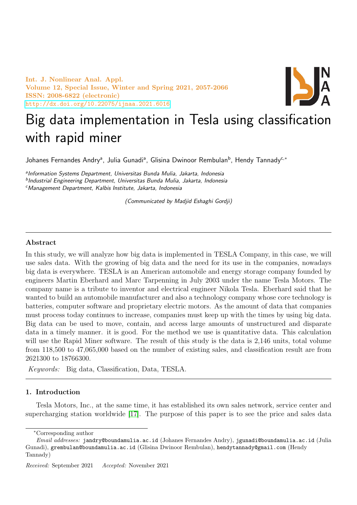Int. J. Nonlinear Anal. Appl. Volume 12, Special Issue, Winter and Spring 2021, 2057-2066 ISSN: 2008-6822 (electronic) <http://dx.doi.org/10.22075/ijnaa.2021.6016>



# Big data implementation in Tesla using classification with rapid miner

Johanes Fernandes Andryª, Julia Gunadiª, Glisina Dwinoor Rembulan<sup>b</sup>, Hendy Tannady<sup>c,</sup>\*

a Information Systems Department, Universitas Bunda Mulia, Jakarta, Indonesia <sup>b</sup>Industrial Engineering Department, Universitas Bunda Mulia, Jakarta, Indonesia <sup>c</sup>Management Department, Kalbis Institute, Jakarta, Indonesia

(Communicated by Madjid Eshaghi Gordji)

#### Abstract

In this study, we will analyze how big data is implemented in TESLA Company, in this case, we will use sales data. With the growing of big data and the need for its use in the companies, nowadays big data is everywhere. TESLA is an American automobile and energy storage company founded by engineers Martin Eberhard and Marc Tarpenning in July 2003 under the name Tesla Motors. The company name is a tribute to inventor and electrical engineer Nikola Tesla. Eberhard said that he wanted to build an automobile manufacturer and also a technology company whose core technology is batteries, computer software and proprietary electric motors. As the amount of data that companies must process today continues to increase, companies must keep up with the times by using big data. Big data can be used to move, contain, and access large amounts of unstructured and disparate data in a timely manner. it is good. For the method we use is quantitative data. This calculation will use the Rapid Miner software. The result of this study is the data is 2,146 units, total volume from 118,500 to 47,065,000 based on the number of existing sales, and classification result are from 2621300 to 18766300.

Keywords: Big data, Classification, Data, TESLA.

### 1. Introduction

Tesla Motors, Inc., at the same time, it has established its own sales network, service center and supercharging station worldwide [\[17\]](#page-9-0). The purpose of this paper is to see the price and sales data

<sup>∗</sup>Corresponding author

Email addresses: jandry@boundamulia.ac.id (Johanes Fernandes Andry), jgunadi@boundamulia.ac.id (Julia Gunadi), grembulan@boundamulia.ac.id (Glisina Dwinoor Rembulan), hendytannady@gmail.com (Hendy Tannady)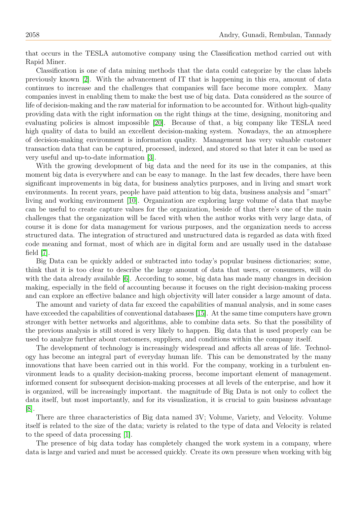that occurs in the TESLA automotive company using the Classification method carried out with Rapid Miner.

Classification is one of data mining methods that the data could categorize by the class labels previously known [\[2\]](#page-8-0). With the advancement of IT that is happening in this era, amount of data continues to increase and the challenges that companies will face become more complex. Many companies invest in enabling them to make the best use of big data. Data considered as the source of life of decision-making and the raw material for information to be accounted for. Without high-quality providing data with the right information on the right things at the time, designing, monitoring and evaluating policies is almost impossible [\[20\]](#page-9-1). Because of that, a big company like TESLA need high quality of data to build an excellent decision-making system. Nowadays, the an atmosphere of decision-making environment is information quality. Management has very valuable customer transaction data that can be captured, processed, indexed, and stored so that later it can be used as very useful and up-to-date information [\[3\]](#page-8-1).

With the growing development of big data and the need for its use in the companies, at this moment big data is everywhere and can be easy to manage. In the last few decades, there have been significant improvements in big data, for business analytics purposes, and in living and smart work environments. In recent years, people have paid attention to big data, business analysis and "smart" living and working environment [\[10\]](#page-8-2). Organization are exploring large volume of data that maybe can be useful to create capture values for the organization, beside of that there's one of the main challenges that the organization will be faced with when the author works with very large data, of course it is done for data management for various purposes, and the organization needs to access structured data. The integration of structured and unstructured data is regarded as data with fixed code meaning and format, most of which are in digital form and are usually used in the database field [\[7\]](#page-8-3).

Big Data can be quickly added or subtracted into today's popular business dictionaries; some, think that it is too clear to describe the large amount of data that users, or consumers, will do with the data already available [\[6\]](#page-8-4). According to some, big data has made many changes in decision making, especially in the field of accounting because it focuses on the right decision-making process and can explore an effective balance and high objectivity will later consider a large amount of data.

The amount and variety of data far exceed the capabilities of manual analysis, and in some cases have exceeded the capabilities of conventional databases [\[15\]](#page-8-5). At the same time computers have grown stronger with better networks and algorithms, able to combine data sets. So that the possibility of the previous analysis is still stored is very likely to happen. Big data that is used properly can be used to analyze further about customers, suppliers, and conditions within the company itself.

The development of technology is increasingly widespread and affects all areas of life. Technology has become an integral part of everyday human life. This can be demonstrated by the many innovations that have been carried out in this world. For the company, working in a turbulent environment leads to a quality decision-making process, become important element of management. informed consent for subsequent decision-making processes at all levels of the enterprise, and how it is organized, will be increasingly important. the magnitude of Big Data is not only to collect the data itself, but most importantly, and for its visualization, it is crucial to gain business advantage [\[8\]](#page-8-6).

There are three characteristics of Big data named 3V; Volume, Variety, and Velocity. Volume itself is related to the size of the data; variety is related to the type of data and Velocity is related to the speed of data processing [\[1\]](#page-8-7).

The presence of big data today has completely changed the work system in a company, where data is large and varied and must be accessed quickly. Create its own pressure when working with big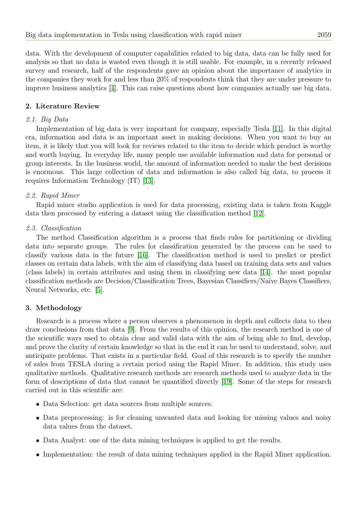data. With the development of computer capabilities related to big data, data can be fully used for analysis so that no data is wasted even though it is still usable. For example, in a recently released survey and research, half of the respondents gave an opinion about the importance of analytics in the companies they work for and less than 20% of respondents think that they are under pressure to improve business analytics [\[4\]](#page-8-8). This can raise questions about how companies actually use big data.

## 2. Literature Review

## 2.1. Big Data

Implementation of big data is very important for company, especially Tesla [\[11\]](#page-8-9). In this digital era, information and data is an important asset in making decisions. When you want to buy an item, it is likely that you will look for reviews related to the item to decide which product is worthy and worth buying. In everyday life, many people use available information and data for personal or group interests. In the business world, the amount of information needed to make the best decisions is enormous. This large collection of data and information is also called big data, to process it requires Information Technology (IT) [\[13\]](#page-8-10).

## 2.2. Rapid Miner

Rapid miner studio application is used for data processing, existing data is taken from Kaggle data then processed by entering a dataset using the classification method [\[12\]](#page-8-11).

## 2.3. Classification

The method Classification algorithm is a process that finds rules for partitioning or dividing data into separate groups. The rules for classification generated by the process can be used to classify various data in the future [\[16\]](#page-9-2). The classification method is used to predict or predict classes on certain data labels, with the aim of classifying data based on training data sets and values (class labels) in certain attributes and using them in classifying new data [\[14\]](#page-8-12). the most popular classification methods are Decision/Classification Trees, Bayesian Classifiers/Na¨ıve Bayes Classifiers, Neural Networks, etc. [\[5\]](#page-8-13).

## 3. Methodology

Research is a process where a person observes a phenomenon in depth and collects data to then draw conclusions from that data [\[9\]](#page-8-14). From the results of this opinion, the research method is one of the scientific ways used to obtain clear and valid data with the aim of being able to find, develop, and prove the clarity of certain knowledge so that in the end it can be used to understand, solve, and anticipate problems. That exists in a particular field. Goal of this research is to specify the number of sales from TESLA during a certain period using the Rapid Miner. In addition, this study uses qualitative methods. Qualitative research methods are research methods used to analyze data in the form of descriptions of data that cannot be quantified directly [\[19\]](#page-9-3). Some of the steps for research carried out in this scientific are:

- Data Selection: get data sources from multiple sources.
- Data preprocessing: is for cleaning unwanted data and looking for missing values and noisy data values from the dataset.
- Data Analyst: one of the data mining techniques is applied to get the results.
- Implementation: the result of data mining techniques applied in the Rapid Miner application.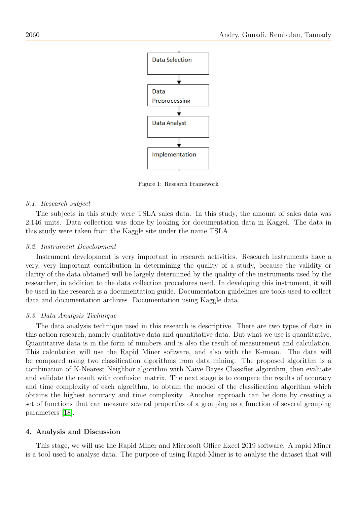

Figure 1: Research Framework

#### 3.1. Research subject

The subjects in this study were TSLA sales data. In this study, the amount of sales data was 2,146 units. Data collection was done by looking for documentation data in Kaggel. The data in this study were taken from the Kaggle site under the name TSLA.

#### 3.2. Instrument Development

Instrument development is very important in research activities. Research instruments have a very, very important contribution in determining the quality of a study, because the validity or clarity of the data obtained will be largely determined by the quality of the instruments used by the researcher, in addition to the data collection procedures used. In developing this instrument, it will be used in the research is a documentation guide. Documentation guidelines are tools used to collect data and documentation archives. Documentation using Kaggle data.

#### 3.3. Data Analysis Technique

The data analysis technique used in this research is descriptive. There are two types of data in this action research, namely qualitative data and quantitative data. But what we use is quantitative. Quantitative data is in the form of numbers and is also the result of measurement and calculation. This calculation will use the Rapid Miner software, and also with the K-mean. The data will be compared using two classification algorithms from data mining. The proposed algorithm is a combination of K-Nearest Neighbor algorithm with Naive Bayes Classifier algorithm, then evaluate and validate the result with confusion matrix. The next stage is to compare the results of accuracy and time complexity of each algorithm, to obtain the model of the classification algorithm which obtains the highest accuracy and time complexity. Another approach can be done by creating a set of functions that can measure several properties of a grouping as a function of several grouping parameters [\[18\]](#page-9-4).

#### 4. Analysis and Discussion

This stage, we will use the Rapid Miner and Microsoft Office Excel 2019 software. A rapid Miner is a tool used to analyse data. The purpose of using Rapid Miner is to analyse the dataset that will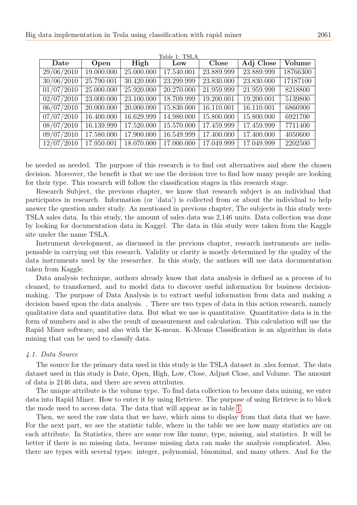| Date       | Open       | High       | Low        | Close      | Adj Close  | Volume   |  |
|------------|------------|------------|------------|------------|------------|----------|--|
| 29/06/2010 | 19.000.000 | 25.000.000 | 17.540.001 | 23.889.999 | 23.889.999 | 18766300 |  |
| 30/06/2010 | 25.790.001 | 30.420.000 | 23.299.999 | 23.830.000 | 23.830.000 | 17187100 |  |
| 01/07/2010 | 25.000.000 | 25.920.000 | 20.270.000 | 21.959.999 | 21.959.999 | 8218800  |  |
| 02/07/2010 | 23.000.000 | 23.100.000 | 18.709.999 | 19.200.001 | 19.200.001 | 5139800  |  |
| 06/07/2010 | 20.000.000 | 20.000.000 | 15.830.000 | 16.110.001 | 16.110.001 | 6866900  |  |
| 07/07/2010 | 16.400.000 | 16.629.999 | 14.980.000 | 15.800.000 | 15.800.000 | 6921700  |  |
| 08/07/2010 | 16.139.999 | 17.520.000 | 15.570.000 | 17.459.999 | 17.459.999 | 7711400  |  |
| 09/07/2010 | 17.580.000 | 17.900.000 | 16.549.999 | 17.400.000 | 17.400.000 | 4050600  |  |
| 12/07/2010 | 17.950.001 | 18.070.000 | 17.000.000 | 17.049.999 | 17.049.999 | 2202500  |  |

<span id="page-4-0"></span> $T<sub>1</sub>$  1: TSLA

be needed as needed. The purpose of this research is to find out alternatives and show the chosen decision. Moreover, the benefit is that we use the decision tree to find how many people are looking for their type. This research will follow the classification stages in this research stage.

Research Subject, the previous chapter, we know that research subject is an individual that participates in research. Information (or 'data') is collected from or about the individual to help answer the question under study. As mentioned in previous chapter, The subjects in this study were TSLA sales data. In this study, the amount of sales data was 2,146 units. Data collection was done by looking for documentation data in Kaggel. The data in this study were taken from the Kaggle site under the name TSLA.

Instrument development, as discussed in the previous chapter, research instruments are indispensable in carrying out this research. Validity or clarity is mostly determined by the quality of the data instruments used by the researcher. In this study, the authors will use data documentation taken from Kaggle.

Data analysis technique, authors already know that data analysis is defined as a process of to cleaned, to transformed, and to model data to discover useful information for business decisionmaking. The purpose of Data Analysis is to extract useful information from data and making a decision based upon the data analysis. . There are two types of data in this action research, namely qualitative data and quantitative data. But what we use is quantitative. Quantitative data is in the form of numbers and is also the result of measurement and calculation. This calculation will use the Rapid Miner software, and also with the K-mean. K-Means Classification is an algorithm in data mining that can be used to classify data.

#### 4.1. Data Source

The source for the primary data used in this study is the TSLA dataset in .xlsx format. The data dataset used in this study is Date, Open, High, Low, Close, Adjust Close, and Volume. The amount of data is 2146 data, and there are seven attributes.

The unique attribute is the volume type. To find data collection to become data mining, we enter data into Rapid Miner. How to enter it by using Retrieve. The purpose of using Retrieve is to block the mode used to access data. The data that will appear as in table [1.](#page-4-0)

Then, we need the raw data that we have, which aims to display from that data that we have. For the next part, we see the statistic table, where in the table we see how many statistics are on each attribute. In Statistics, there are some row like name, type, missing, and statistics. It will be better if there is no missing data, because missing data can make the analysis complicated. Also, there are types with several types: integer, polynomial, binominal, and many others. And for the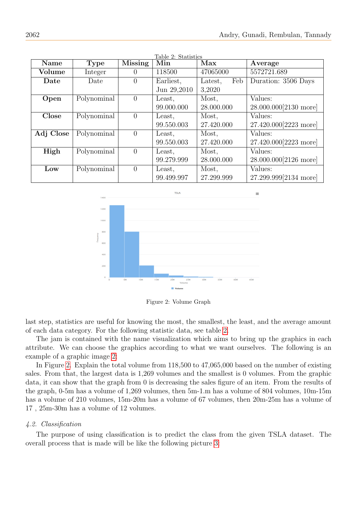<span id="page-5-0"></span>

| Table 2: Statistics      |             |                |             |                |                       |  |  |  |  |  |
|--------------------------|-------------|----------------|-------------|----------------|-----------------------|--|--|--|--|--|
| Name                     | <b>Type</b> | <b>Missing</b> | Min         | Max            | Average               |  |  |  |  |  |
| Volume                   | Integer     | $\Omega$       | 118500      | 47065000       | 5572721.689           |  |  |  |  |  |
| Date                     | Date        | $\theta$       | Earliest,   | Feb<br>Latest, | Duration: 3506 Days   |  |  |  |  |  |
|                          |             |                | Jun 29,2010 | 3,2020         |                       |  |  |  |  |  |
| Open                     | Polynominal | $\theta$       | Least,      | Most,          | Values:               |  |  |  |  |  |
|                          |             |                | 99.000.000  | 28.000.000     | 28.000.000[2130 more] |  |  |  |  |  |
| Close                    | Polynominal | $\theta$       | Least,      | Most,          | Values:               |  |  |  |  |  |
|                          |             |                | 99.550.003  | 27.420.000     | 27.420.000[2223 more] |  |  |  |  |  |
| Polynominal<br>Adj Close |             | $\left($       | Least,      | Most,          | Values:               |  |  |  |  |  |
|                          |             |                | 99.550.003  | 27.420.000     | 27.420.000[2223 more] |  |  |  |  |  |
| High<br>Polynominal      |             | $\left($       | Least,      | Most,          | Values:               |  |  |  |  |  |
|                          |             |                | 99.279.999  | 28.000.000     | 28.000.000[2126 more] |  |  |  |  |  |
| Low                      | Polynominal | $\theta$       | Least,      | Most,          | Values:               |  |  |  |  |  |
|                          |             |                | 99.499.997  | 27.299.999     | 27.299.999[2134 more] |  |  |  |  |  |



<span id="page-5-1"></span>Figure 2: Volume Graph

last step, statistics are useful for knowing the most, the smallest, the least, and the average amount of each data category. For the following statistic data, see table [2.](#page-5-0)

The jam is contained with the name visualization which aims to bring up the graphics in each attribute. We can choose the graphics according to what we want ourselves. The following is an example of a graphic image [2:](#page-5-1)

In Figure [2.](#page-5-1) Explain the total volume from 118,500 to 47,065,000 based on the number of existing sales. From that, the largest data is 1,269 volumes and the smallest is 0 volumes. From the graphic data, it can show that the graph from 0 is decreasing the sales figure of an item. From the results of the graph, 0-5m has a volume of 1,269 volumes, then 5m-1.m has a volume of 804 volumes, 10m-15m has a volume of 210 volumes, 15m-20m has a volume of 67 volumes, then 20m-25m has a volume of 17 , 25m-30m has a volume of 12 volumes.

#### 4.2. Classification

The purpose of using classification is to predict the class from the given TSLA dataset. The overall process that is made will be like the following picture [3:](#page-6-0)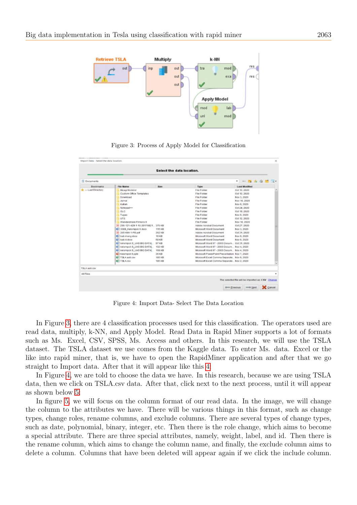

<span id="page-6-0"></span>Figure 3: Process of Apply Model for Classification

|                  |                                      | <b>Select the data location.</b> |                                               |                      |         |  |  |
|------------------|--------------------------------------|----------------------------------|-----------------------------------------------|----------------------|---------|--|--|
| 田<br>Documents   |                                      |                                  |                                               | ٠<br>$+ -$           | $Q = 1$ |  |  |
| Bookmarks        | <b>File Name</b>                     | Size                             | Type                                          | <b>Last Modified</b> |         |  |  |
| - Last Directory | Bizagi Modeler                       |                                  | <b>File Folder</b>                            | Oct 10, 2020         |         |  |  |
|                  | Custom Office Templates              |                                  | File Folder                                   | Oct 10, 2020         |         |  |  |
|                  | Download                             |                                  | <b>File Folder</b>                            | Nov 3, 2020          |         |  |  |
|                  | Jurnal                               |                                  | <b>File Folder</b>                            | Nov 10, 2020         |         |  |  |
|                  | Kuliah                               |                                  | File Folder                                   | Nov 9, 2020          |         |  |  |
|                  | $Notepad++$                          |                                  | <b>File Folder</b>                            | Oct 24, 2020         |         |  |  |
|                  | <b>OLC</b>                           |                                  | <b>File Folder</b>                            | Oct 19, 2020         |         |  |  |
|                  | Tugas                                |                                  | <b>File Folder</b>                            | Nov 9, 2020          |         |  |  |
|                  | <b>UTS</b>                           |                                  | <b>File Folder</b>                            | Oct 12, 2020         |         |  |  |
|                  | Wondershare Filmora 9                |                                  | <b>File Folder</b>                            | Nov 10, 2020         |         |  |  |
|                  | A 296-121-429-1-10-20170821 375 KB   |                                  | Adobe Acrobat Document                        | Oct 27, 2020         |         |  |  |
|                  | D- 3089_Kelompok 6.docx              | 115 KB                           | Microsoft Word Document                       | Nov 3, 2020          |         |  |  |
|                  | A 365-690-1-PB.pdf                   | 362 KB                           | Adobe Acrobat Document                        | Oct 31, 2020         |         |  |  |
|                  | $\Box$ bab 4 eng.docx                | <b>16 KB</b>                     | Microsoft Word Document                       | Nov 9, 2020          |         |  |  |
|                  | $D1$ bab 4. docx                     | 58 KB                            | Microsoft Word Document                       | Nov 9, 2020          |         |  |  |
|                  | till kelompok 9 UAS BIG DATAL. 97 KB |                                  | Microsoft Word 97 - 2003 Docum Oct 31, 2020   |                      |         |  |  |
|                  | IB- kelompok 9 UAS BIG DATAL. 102 KB |                                  | Microsoft Word 97 - 2003 Docum Nov 4, 2020    |                      |         |  |  |
|                  | No kelompok 9_UAS BIG DATA[  168 KB  |                                  | Microsoft Word 97 - 2003 Docum Nov 4, 2020    |                      |         |  |  |
|                  | Keompok 6.pptx                       | 36 KB                            | Microsoft PowerPoint Presentation Nov 7, 2020 |                      |         |  |  |
|                  | <b>D</b> TSLA asli.csv               | 185 KB                           | Microsoft Excel Comma Separate Nov 9, 2020    |                      |         |  |  |
|                  | <b>D</b> <sup>1</sup> TSLA csv       | 185 KB                           | Microsoft Excel Comma Separate Nov 2, 2020    |                      |         |  |  |
| TSLA asli.csv    |                                      |                                  |                                               |                      |         |  |  |
| All Files        |                                      |                                  |                                               |                      |         |  |  |

<span id="page-6-1"></span>Figure 4: Import Data- Select The Data Location

In Figure [3,](#page-6-0) there are 4 classification processes used for this classification. The operators used are read data, multiply, k-NN, and Apply Model. Read Data in Rapid Miner supports a lot of formats such as Ms. Excel, CSV, SPSS, Ms. Access and others. In this research, we will use the TSLA dataset. The TSLA dataset we use comes from the Kaggle data. To enter Ms. data. Excel or the like into rapid miner, that is, we have to open the RapidMiner application and after that we go straight to Import data. After that it will appear like this [4:](#page-6-1)

In Figure [4,](#page-6-1) we are told to choose the data we have. In this research, because we are using TSLA data, then we click on TSLA.csv data. After that, click next to the next process, until it will appear as shown below [5:](#page-7-0)

In figure [5,](#page-7-0) we will focus on the column format of our read data. In the image, we will change the column to the attributes we have. There will be various things in this format, such as change types, change roles, rename columns, and exclude columns. There are several types of change types, such as date, polynomial, binary, integer, etc. Then there is the role change, which aims to become a special attribute. There are three special attributes, namely, weight, label, and id. Then there is the rename column, which aims to change the column name, and finally, the exclude column aims to delete a column. Columns that have been deleted will appear again if we click the include column.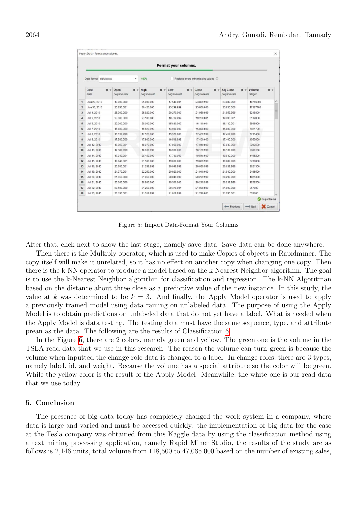|                |                        |                            |                                       | Format your columns.                 |                                      |                                          |                            |  |  |
|----------------|------------------------|----------------------------|---------------------------------------|--------------------------------------|--------------------------------------|------------------------------------------|----------------------------|--|--|
|                | Date format dd/MM/yyyy | $\pmb{\mathrm{v}}$         | 100%                                  |                                      | Replace errors with missing values 1 |                                          |                            |  |  |
|                | Date<br>$0 -$<br>date  | Open<br>0.7<br>polynominal | High<br>0 <sub>v</sub><br>polynominal | Low<br>0 <sub>v</sub><br>polynominal | Close<br>$0 -$<br>polynominal        | <b>Adj Close</b><br>$8 -$<br>polynominal | Volume<br>$0 +$<br>integer |  |  |
| $\mathbf{1}$   | Jun 29, 2010           | 19.000.000                 | 25.000.000                            | 17.540.001                           | 23.889.999                           | 23.889.999                               | 18766300                   |  |  |
| $\overline{2}$ | Jun 30, 2010           | 25.790.001                 | 30.420.000                            | 23.299.999                           | 23.830.000                           | 23.830.000                               | 17187100                   |  |  |
| 3              | Jul 1, 2010            | 25,000,000                 | 25,920,000                            | 20,270,000                           | 21,959,999                           | 21.959.999                               | 8218800                    |  |  |
| $\overline{4}$ | Jul 2, 2010            | 23,000.000                 | 23.100.000                            | 18.709.999                           | 19.200.001                           | 19.200.001                               | 5139800                    |  |  |
| 5              | Jul 6, 2010            | 20.000.000                 | 20,000.000                            | 15.830.000                           | 16.110.001                           | 16.110.001                               | 6866900                    |  |  |
| 6              | Jul 7, 2010            | 16,400,000                 | 16,629,999                            | 14,980,000                           | 15,800,000                           | 15,800,000                               | 6921700                    |  |  |
| $\overline{7}$ | Jul 8, 2010            | 16.139.999                 | 17.520.000                            | 15.570.000                           | 17.459.999                           | 17.459.999                               | 7711400                    |  |  |
| 8              | Jul 9, 2010            | 17,580,000                 | 17,900,000                            | 16,549.999                           | 17,400,000                           | 17,400,000                               | 4050600                    |  |  |
| $\overline{9}$ | Jul 12, 2010           | 17.950.001                 | 18.070.000                            | 17.000.000                           | 17,049.999                           | 17.049.999                               | 2202500                    |  |  |
| 10             | Jul 13, 2010           | 17.389.999                 | 18.639.999                            | 16.900.000                           | 18.139.999                           | 18.139.999                               | 2680100                    |  |  |
| 11             | Jul 14, 2010           | 17,940.001                 | 20.150.000                            | 17.760.000                           | 19.840.000                           | 19.840.000                               | 4195200                    |  |  |
| 12             | Jul 15, 2010           | 19.940.001                 | 21,500.000                            | 19.000.000                           | 19.889.999                           | 19,889.999                               | 3739800                    |  |  |
| 13             | Jul 16, 2010           | 20.700.001                 | 21,299,999                            | 20.049.999                           | 20.639.999                           | 20.639.999                               | 2621300                    |  |  |
| 14             | Jul 19, 2010           | 21.370.001                 | 22,250,000                            | 20.920.000                           | 21.910.000                           | 21.910.000                               | 2486500                    |  |  |
| 15             | Jul 20, 2010           | 21,850,000                 | 21.850.000                            | 20.049.999                           | 20.299.999                           | 20.299.999                               | 1825300                    |  |  |
| 16             | Jul 21, 2010           | 20.660.000                 | 20.900.000                            | 19.500.000                           | 20.219.999                           | 20.219.999                               | 1252500                    |  |  |
| 17             | Jul 22, 2010           | 20.500.000                 | 21.250.000                            | 20.370.001                           | 21.000.000                           | 21.000.000                               | 957800                     |  |  |
| 18             | Jul 23, 2010           | 21.190.001                 | 21.559.999                            | 21.059.999                           | 21.290.001                           | 21.290.001                               | 653600                     |  |  |

<span id="page-7-0"></span>Figure 5: Import Data-Format Your Columns

After that, click next to show the last stage, namely save data. Save data can be done anywhere.

Then there is the Multiply operator, which is used to make Copies of objects in Rapidminer. The copy itself will make it unrelated, so it has no effect on another copy when changing one copy. Then there is the k-NN operator to produce a model based on the k-Nearest Neighbor algorithm. The goal is to use the k-Nearest Neighbor algorithm for classification and regression. The k-NN Algoritman based on the distance about three close as a predictive value of the new instance. In this study, the value at k was determined to be  $k = 3$ . And finally, the Apply Model operator is used to apply a previously trained model using data raining on unlabeled data. The purpose of using the Apply Model is to obtain predictions on unlabeled data that do not yet have a label. What is needed when the Apply Model is data testing. The testing data must have the same sequence, type, and attribute prean as the data. The following are the results of Classification [6:](#page-8-15)

In the Figure [6,](#page-8-15) there are 2 colors, namely green and yellow. The green one is the volume in the TSLA read data that we use in this research. The reason the volume can turn green is because the volume when inputted the change role data is changed to a label. In change roles, there are 3 types, namely label, id, and weight. Because the volume has a special attribute so the color will be green. While the yellow color is the result of the Apply Model. Meanwhile, the white one is our read data that we use today.

### 5. Conclusion

The presence of big data today has completely changed the work system in a company, where data is large and varied and must be accessed quickly. the implementation of big data for the case at the Tesla company was obtained from this Kaggle data by using the classification method using a text mining processing application, namely Rapid Miner Studio, the results of the study are as follows is 2,146 units, total volume from 118,500 to 47,065,000 based on the number of existing sales,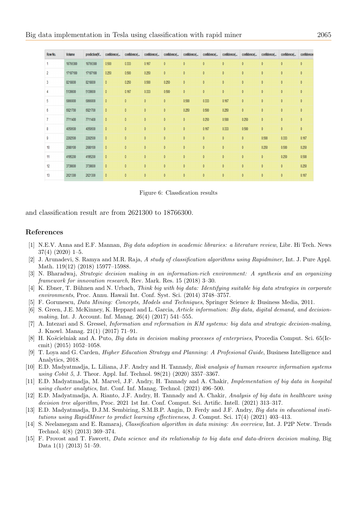| Row No.        | Volume   | prediction(V | confidence(  | confidence(  | confidence(  | confidence(  | confidence(  | confidence(  | confidence(  | confidence(  | confidence(  | confidence(  | confidence   |
|----------------|----------|--------------|--------------|--------------|--------------|--------------|--------------|--------------|--------------|--------------|--------------|--------------|--------------|
| 1              | 18766300 | 18766300     | 0.500        | 0.333        | 0.167        | $\mathbf{0}$ | $\mathbf{0}$ | $\mathbf{0}$ | $\mathbf{0}$ | $\mathbf{0}$ | $\mathbf{0}$ | $\mathbf{0}$ | $\mathbf{0}$ |
| $\overline{2}$ | 17187100 | 17187100     | 0.250        | 0.500        | 0.250        | $\mathbf{0}$ | $\mathbf{0}$ | $\mathbf{0}$ | $\mathbf{0}$ | $\mathbf{0}$ | $\pmb{0}$    | $\mathbf{0}$ | $\mathbf{0}$ |
| $\overline{3}$ | 8218800  | 8218800      | $\mathbf{0}$ | 0.250        | 0.500        | 0.250        | $\pmb{0}$    | $\pmb{0}$    | $\pmb{0}$    | $\mathbf{0}$ | $\pmb{0}$    | $\mathbf{0}$ | $\pmb{0}$    |
| $\overline{4}$ | 5139800  | 5139800      | $\pmb{0}$    | 0.167        | 0.333        | 0.500        | $\mathbb{0}$ | $\pmb{0}$    | $\mathbb O$  | $\pmb{0}$    | $\pmb{0}$    | $\mathbf{0}$ | $\mathbb O$  |
| 5              | 6866900  | 6866900      | $\mathbf{0}$ | $\pmb{0}$    | $\mathbf{0}$ | $\mathbf{0}$ | 0.500        | 0.333        | 0.167        | $\mathbf{0}$ | $\mathbf{0}$ | $\mathbf{0}$ | $\mathbf{0}$ |
| 6              | 6921700  | 6921700      | $\mathbf{0}$ | $\pmb{0}$    | $\mathbf{0}$ | $\mathbf{0}$ | 0.250        | 0.500        | 0.250        | $\mathbf{0}$ | $\mathbf{0}$ | $\mathbf{0}$ | $\mathbf{0}$ |
| $\overline{7}$ | 7711400  | 7711400      | $\mathbf{0}$ | $\pmb{0}$    | $\mathbf{0}$ | $\mathbf{0}$ | $\mathbf{0}$ | 0.250        | 0.500        | 0.250        | $\pmb{0}$    | $\mathbf{0}$ | $\mathbf{0}$ |
| 8              | 4050600  | 4050600      | $\mathbf{0}$ | $\mathbf 0$  | $\mathbf{0}$ | $\mathbf{0}$ | $\pmb{0}$    | 0.167        | 0.333        | 0.500        | $\pmb{0}$    | $\mathbf{0}$ | $\mathbf 0$  |
| 9              | 2202500  | 2202500      | $\mathbf{0}$ | $\mathbf{0}$ | $\mathbf{0}$ | $\mathbf{0}$ | $\mathbf{0}$ | $\mathbf{0}$ | $\mathbf{0}$ | $\mathbf{0}$ | 0.500        | 0.333        | 0.167        |
| 10             | 2680100  | 2680100      | $\mathbf{0}$ | $\pmb{0}$    | $\mathbf{0}$ | $\mathbf{0}$ | $\mathbf{0}$ | $\pmb{0}$    | $\mathbf{0}$ | $\mathbf{0}$ | 0.250        | 0.500        | 0.250        |
| 11             | 4195200  | 4195200      | $\pmb{0}$    | $\pmb{0}$    | $\pmb{0}$    | $\pmb{0}$    | $\pmb{0}$    | $\pmb{0}$    | $\pmb{0}$    | $\pmb{0}$    | $\pmb{0}$    | 0.250        | 0.500        |
| 12             | 3739800  | 3739800      | $\pmb{0}$    | $\mathbf{0}$ | $\mathbf{0}$ | $\mathbf{0}$ | $\mathbf{0}$ | $\mathbf{0}$ | $\mathbf{0}$ | $\mathbf{0}$ | $\mathbf{0}$ | $\mathbf{0}$ | 0.250        |
| 13             | 2621300  | 2621300      | $\mathbf{0}$ | $\pmb{0}$    | $\mathbf{0}$ | $\mathbf{0}$ | $\mathbf{0}$ | $\mathbf{0}$ | $\mathbf{0}$ | $\mathbf{0}$ | $\mathbf{0}$ | $\mathbf{0}$ | 0.167        |

<span id="page-8-15"></span>Figure 6: Classfication results

and classification result are from 2621300 to 18766300.

#### References

- <span id="page-8-7"></span>[1] N.E.V. Anna and E.F. Mannan, Big data adoption in academic libraries: a literature review, Libr. Hi Tech. News 37(4) (2020) 1–5.
- <span id="page-8-0"></span>[2] J. Arunadevi, S. Ramya and M.R. Raja, A study of classification algorithms using Rapidminer, Int. J. Pure Appl. Math. 119(12) (2018) 15977–15988.
- <span id="page-8-1"></span>[3] N. Bharadwaj, Strategic decision making in an information-rich environment: A synthesis and an organizing framework for innovation research, Rev. Mark. Res. 15 (2018) 3–30.
- <span id="page-8-8"></span>[4] K. Ebner, T. Bühnen and N. Urbach, Think big with big data: Identifying suitable big data strategies in corporate environments, Proc. Annu. Hawaii Int. Conf. Syst. Sci. (2014) 3748–3757.
- <span id="page-8-13"></span>[5] F. Gorunescu, Data Mining: Concepts, Models and Techniques, Springer Science & Business Media, 2011.
- <span id="page-8-4"></span>[6] S. Green, J.E. McKinney, K. Heppard and L. Garcia, Article information: Big data, digital demand, and decisionmaking, Int. J. Account. Inf. Manag. 26(4) (2017) 541–555.
- <span id="page-8-3"></span>[7] A. Intezari and S. Gressel, Information and reformation in KM systems: big data and strategic decision-making, J. Knowl. Manag. 21(1) (2017) 71–91.
- <span id="page-8-6"></span>[8] H. Koscielniak and A. Puto, *Big data in decision making processes of enterprises*, Procedia Comput. Sci. 65(Iccmit) (2015) 1052–1058.
- <span id="page-8-14"></span>[9] T. Loya and G. Carden, Higher Education Strategy and Planning: A Profesional Guide, Business Intelligence and Analytics, 2018.
- <span id="page-8-2"></span>[10] E.D. Madyatmadja, L. Liliana, J.F. Andry and H. Tannady, Risk analysis of human resource information systems using Cobit 5, J. Theor. Appl. Inf. Technol. 98(21) (2020) 3357–3367.
- <span id="page-8-9"></span>[11] E.D. Madyatmadja, M. Marvel, J.F. Andry, H. Tannady and A. Chakir, Implementation of big data in hospital using cluster analytics, Int. Conf. Inf. Manag. Technol. (2021) 496–500.
- <span id="page-8-11"></span>[12] E.D. Madyatmadja, A. Rianto, J.F. Andry, H. Tannady and A. Chakir, Analysis of big data in healthcare using decision tree algorithm, Proc. 2021 1st Int. Conf. Comput. Sci. Artific. Intell. (2021) 313–317.
- <span id="page-8-10"></span>[13] E.D. Madyatmadja, D.J.M. Sembiring, S.M.B.P. Angin, D. Ferdy and J.F. Andry, Big data in educational institutions using RapidMiner to predict learning effectiveness, J. Comput. Sci. 17(4) (2021) 403–413.
- <span id="page-8-12"></span>[14] S. Neelamegam and E. Ramaraj, Classification algorithm in data mining: An overview, Int. J. P2P Netw. Trends Technol. 4(8) (2013) 369–374.
- <span id="page-8-5"></span>[15] F. Provost and T. Fawcett, Data science and its relationship to big data and data-driven decision making, Big Data 1(1) (2013) 51–59.